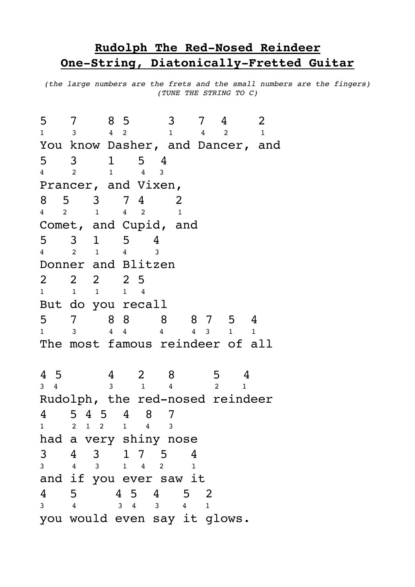## **Rudolph The Red-Nosed Reindeer One-String, Diatonically-Fretted Guitar**

*(the large numbers are the frets and the small numbers are the fingers) (TUNE THE STRING TO C)*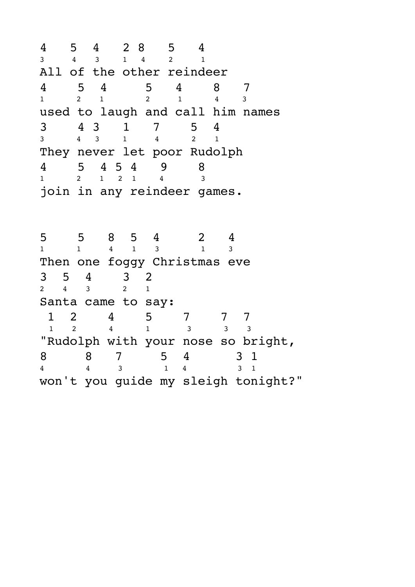$\begin{array}{ccccccccc}\n4 & 5 & 4 & 2 & 8 & 5 & 4 \\
3 & 4 & 3 & 1 & 4 & 2 & 1\n\end{array}$ 3 4 3 1 4 2 1 All of the other reindeer 4 5 4 5 4 8 7 1 2 1 2 1 4 3 used to laugh and call him names 3 4 3 1 7 5 4 3 4 3 1 4 2 1 They never let poor Rudolph 4 5 4 5 4 9 8 1 2 1 2 1 4 3 join in any reindeer games.

5 5 8 5 4 2 4 1 1 4 1 3 1 3 Then one foggy Christmas eve  $\begin{array}{ccccccccc}\n3 & 5 & 4 & 3 & 2 \\
2 & 4 & 3 & 2 & 1\n\end{array}$ 2 4 3 2 1 Santa came to say: 1 2 4 5 7 7 7 1 2 4 1 3 3 3 "Rudolph with your nose so bright,  $\begin{array}{ccccccccc}\n8 & & 8 & & 7 & & 5 & 4 & & 3 & 1 \\
4 & & 4 & & 3 & & 1 & 4 & & 3 & 1\n\end{array}$ 4 4 3 1 4 3 1 won't you guide my sleigh tonight?"